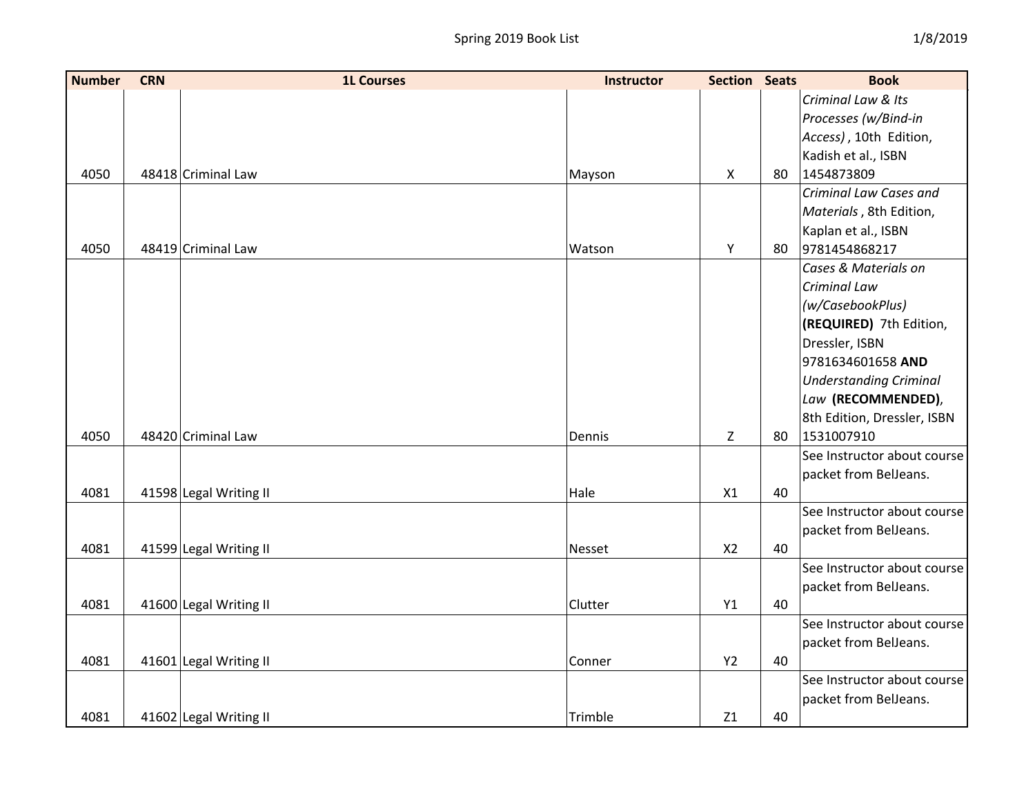| <b>Number</b> | <b>CRN</b> | <b>1L Courses</b>      | <b>Instructor</b> | <b>Section Seats</b> |    | <b>Book</b>                   |
|---------------|------------|------------------------|-------------------|----------------------|----|-------------------------------|
|               |            |                        |                   |                      |    | Criminal Law & Its            |
|               |            |                        |                   |                      |    | Processes (w/Bind-in          |
|               |            |                        |                   |                      |    | Access), 10th Edition,        |
|               |            |                        |                   |                      |    | Kadish et al., ISBN           |
| 4050          |            | 48418 Criminal Law     | Mayson            | $\mathsf{X}$         | 80 | 1454873809                    |
|               |            |                        |                   |                      |    | Criminal Law Cases and        |
|               |            |                        |                   |                      |    | Materials, 8th Edition,       |
|               |            |                        |                   |                      |    | Kaplan et al., ISBN           |
| 4050          |            | 48419 Criminal Law     | Watson            | Υ                    | 80 | 9781454868217                 |
|               |            |                        |                   |                      |    | Cases & Materials on          |
|               |            |                        |                   |                      |    | Criminal Law                  |
|               |            |                        |                   |                      |    | (w/CasebookPlus)              |
|               |            |                        |                   |                      |    | (REQUIRED) 7th Edition,       |
|               |            |                        |                   |                      |    | Dressler, ISBN                |
|               |            |                        |                   |                      |    | 9781634601658 AND             |
|               |            |                        |                   |                      |    | <b>Understanding Criminal</b> |
|               |            |                        |                   |                      |    | Law (RECOMMENDED),            |
|               |            |                        |                   |                      |    | 8th Edition, Dressler, ISBN   |
| 4050          |            | 48420 Criminal Law     | Dennis            | Z                    | 80 | 1531007910                    |
|               |            |                        |                   |                      |    | See Instructor about course   |
|               |            |                        |                   |                      |    | packet from BelJeans.         |
| 4081          |            | 41598 Legal Writing II | Hale              | X1                   | 40 |                               |
|               |            |                        |                   |                      |    | See Instructor about course   |
|               |            |                        |                   |                      |    | packet from BelJeans.         |
| 4081          |            | 41599 Legal Writing II | Nesset            | X <sub>2</sub>       | 40 |                               |
|               |            |                        |                   |                      |    | See Instructor about course   |
|               |            |                        |                   |                      |    | packet from BelJeans.         |
| 4081          |            | 41600 Legal Writing II | Clutter           | Y1                   | 40 |                               |
|               |            |                        |                   |                      |    | See Instructor about course   |
|               |            |                        |                   |                      |    | packet from BelJeans.         |
| 4081          |            | 41601 Legal Writing II | Conner            | <b>Y2</b>            | 40 |                               |
|               |            |                        |                   |                      |    | See Instructor about course   |
|               |            |                        |                   |                      |    | packet from BelJeans.         |
| 4081          |            | 41602 Legal Writing II | Trimble           | Z1                   | 40 |                               |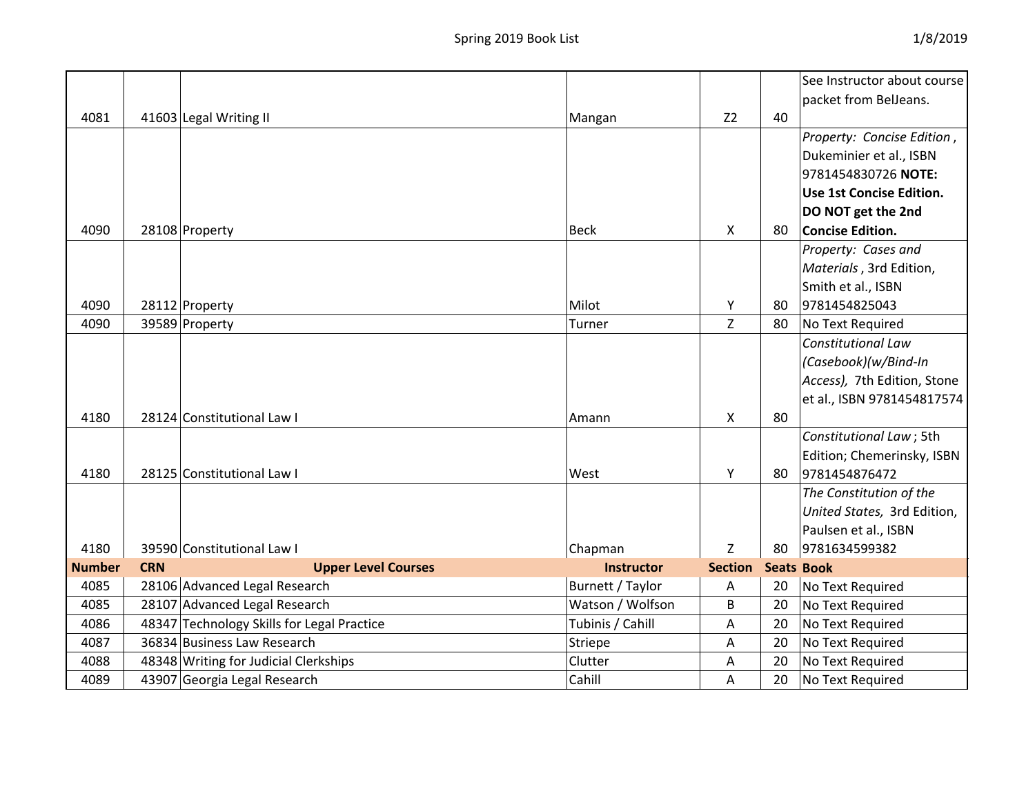|               |            |                                            |                   |                |                   | See Instructor about course |
|---------------|------------|--------------------------------------------|-------------------|----------------|-------------------|-----------------------------|
|               |            |                                            |                   |                |                   | packet from BelJeans.       |
| 4081          |            | 41603 Legal Writing II                     | Mangan            | Z <sub>2</sub> | 40                |                             |
|               |            |                                            |                   |                |                   | Property: Concise Edition,  |
|               |            |                                            |                   |                |                   | Dukeminier et al., ISBN     |
|               |            |                                            |                   |                |                   | 9781454830726 NOTE:         |
|               |            |                                            |                   |                |                   | Use 1st Concise Edition.    |
|               |            |                                            |                   |                |                   | DO NOT get the 2nd          |
| 4090          |            | 28108 Property                             | <b>Beck</b>       | $\mathsf{X}$   | 80                | <b>Concise Edition.</b>     |
|               |            |                                            |                   |                |                   | Property: Cases and         |
|               |            |                                            |                   |                |                   | Materials, 3rd Edition,     |
|               |            |                                            |                   |                |                   | Smith et al., ISBN          |
| 4090          |            | 28112 Property                             | Milot             | Υ              | 80                | 9781454825043               |
| 4090          |            | 39589 Property                             | Turner            | Z              | 80                | No Text Required            |
|               |            |                                            |                   |                |                   | <b>Constitutional Law</b>   |
|               |            |                                            |                   |                |                   | (Casebook)(w/Bind-In        |
|               |            |                                            |                   |                |                   | Access), 7th Edition, Stone |
|               |            |                                            |                   |                |                   | et al., ISBN 9781454817574  |
| 4180          |            | 28124 Constitutional Law I                 | Amann             | X              | 80                |                             |
|               |            |                                            |                   |                |                   | Constitutional Law; 5th     |
|               |            |                                            |                   |                |                   | Edition; Chemerinsky, ISBN  |
| 4180          |            | 28125 Constitutional Law I                 | West              | Y              | 80                | 9781454876472               |
|               |            |                                            |                   |                |                   | The Constitution of the     |
|               |            |                                            |                   |                |                   | United States, 3rd Edition, |
|               |            |                                            |                   |                |                   | Paulsen et al., ISBN        |
| 4180          |            | 39590 Constitutional Law I                 | Chapman           | $\overline{z}$ | 80                | 9781634599382               |
| <b>Number</b> | <b>CRN</b> | <b>Upper Level Courses</b>                 | <b>Instructor</b> | <b>Section</b> | <b>Seats Book</b> |                             |
| 4085          |            | 28106 Advanced Legal Research              | Burnett / Taylor  | A              | 20                | No Text Required            |
| 4085          |            | 28107 Advanced Legal Research              | Watson / Wolfson  | B              | 20                | No Text Required            |
| 4086          |            | 48347 Technology Skills for Legal Practice | Tubinis / Cahill  | Α              | 20                | No Text Required            |
| 4087          |            | 36834 Business Law Research                | Striepe           | Α              | 20                | No Text Required            |
| 4088          |            | 48348 Writing for Judicial Clerkships      | Clutter           | Α              | 20                | No Text Required            |
| 4089          |            | 43907 Georgia Legal Research               | Cahill            | Α              | 20                | No Text Required            |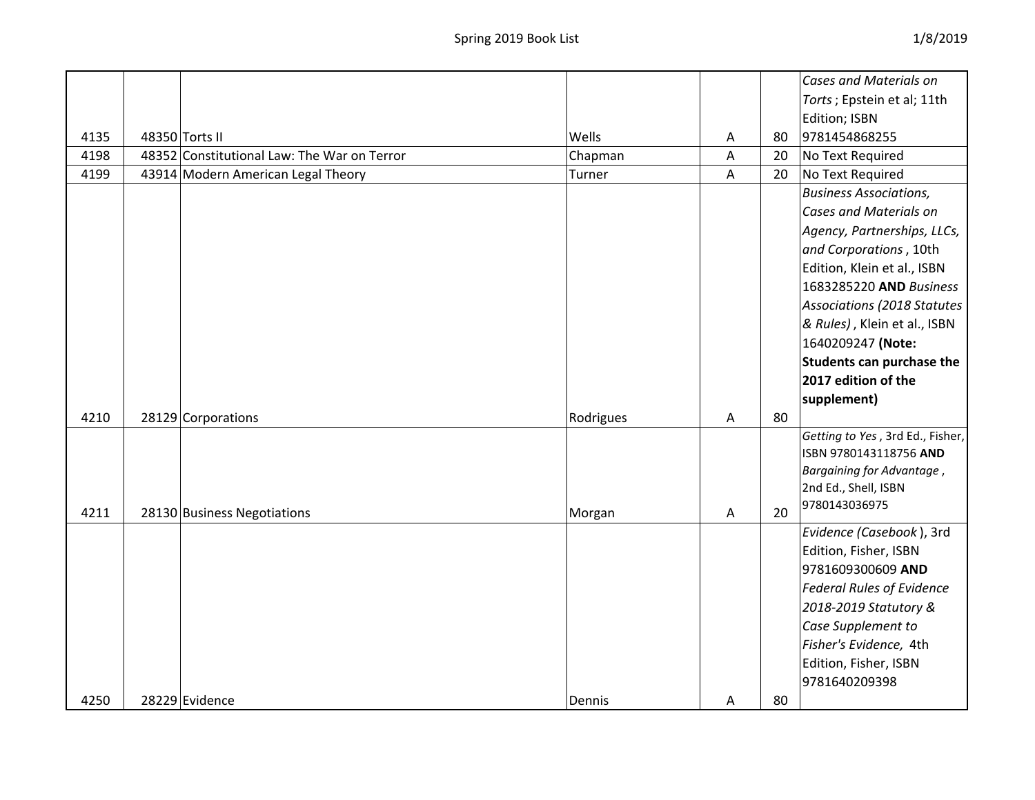|      |                                             |           |   |    | <b>Cases and Materials on</b>    |
|------|---------------------------------------------|-----------|---|----|----------------------------------|
|      |                                             |           |   |    | Torts ; Epstein et al; 11th      |
|      |                                             |           |   |    | Edition; ISBN                    |
| 4135 | 48350 Torts II                              | Wells     | Α | 80 | 9781454868255                    |
| 4198 | 48352 Constitutional Law: The War on Terror | Chapman   | A | 20 | No Text Required                 |
| 4199 | 43914 Modern American Legal Theory          | Turner    | A | 20 | No Text Required                 |
|      |                                             |           |   |    | <b>Business Associations,</b>    |
|      |                                             |           |   |    | <b>Cases and Materials on</b>    |
|      |                                             |           |   |    | Agency, Partnerships, LLCs,      |
|      |                                             |           |   |    | and Corporations, 10th           |
|      |                                             |           |   |    | Edition, Klein et al., ISBN      |
|      |                                             |           |   |    | 1683285220 AND Business          |
|      |                                             |           |   |    | Associations (2018 Statutes      |
|      |                                             |           |   |    | & Rules), Klein et al., ISBN     |
|      |                                             |           |   |    | 1640209247 (Note:                |
|      |                                             |           |   |    | Students can purchase the        |
|      |                                             |           |   |    | 2017 edition of the              |
|      |                                             |           |   |    | supplement)                      |
| 4210 | 28129 Corporations                          | Rodrigues | A | 80 |                                  |
|      |                                             |           |   |    | Getting to Yes, 3rd Ed., Fisher, |
|      |                                             |           |   |    | ISBN 9780143118756 AND           |
|      |                                             |           |   |    | Bargaining for Advantage,        |
|      |                                             |           |   |    | 2nd Ed., Shell, ISBN             |
| 4211 | 28130 Business Negotiations                 | Morgan    | Α | 20 | 9780143036975                    |
|      |                                             |           |   |    | Evidence (Casebook), 3rd         |
|      |                                             |           |   |    | Edition, Fisher, ISBN            |
|      |                                             |           |   |    | 9781609300609 AND                |
|      |                                             |           |   |    | <b>Federal Rules of Evidence</b> |
|      |                                             |           |   |    | 2018-2019 Statutory &            |
|      |                                             |           |   |    | Case Supplement to               |
|      |                                             |           |   |    | Fisher's Evidence, 4th           |
|      |                                             |           |   |    |                                  |
|      |                                             |           |   |    | Edition, Fisher, ISBN            |
|      |                                             |           |   |    | 9781640209398                    |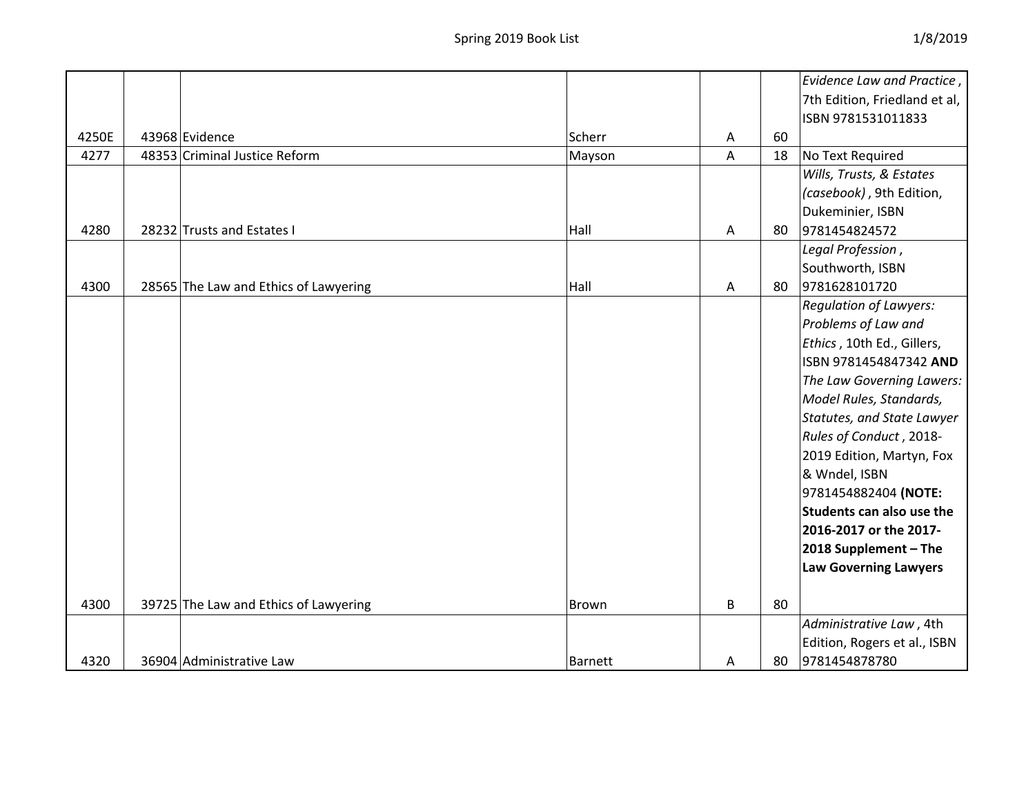|       |                                       |                |   | Evidence Law and Practice,    |
|-------|---------------------------------------|----------------|---|-------------------------------|
|       |                                       |                |   | 7th Edition, Friedland et al, |
|       |                                       |                |   | ISBN 9781531011833            |
| 4250E | 43968 Evidence                        | Scherr         | A | 60                            |
| 4277  | 48353 Criminal Justice Reform         | Mayson         | A | 18<br>No Text Required        |
|       |                                       |                |   | Wills, Trusts, & Estates      |
|       |                                       |                |   | (casebook), 9th Edition,      |
|       |                                       |                |   | Dukeminier, ISBN              |
| 4280  | 28232 Trusts and Estates I            | Hall           | A | 9781454824572<br>80           |
|       |                                       |                |   | Legal Profession,             |
|       |                                       |                |   | Southworth, ISBN              |
| 4300  | 28565 The Law and Ethics of Lawyering | Hall           | A | 9781628101720<br>80           |
|       |                                       |                |   | <b>Regulation of Lawyers:</b> |
|       |                                       |                |   | Problems of Law and           |
|       |                                       |                |   | Ethics, 10th Ed., Gillers,    |
|       |                                       |                |   | ISBN 9781454847342 AND        |
|       |                                       |                |   | The Law Governing Lawers:     |
|       |                                       |                |   | Model Rules, Standards,       |
|       |                                       |                |   | Statutes, and State Lawyer    |
|       |                                       |                |   | Rules of Conduct, 2018-       |
|       |                                       |                |   | 2019 Edition, Martyn, Fox     |
|       |                                       |                |   | & Wndel, ISBN                 |
|       |                                       |                |   | 9781454882404 (NOTE:          |
|       |                                       |                |   | Students can also use the     |
|       |                                       |                |   | 2016-2017 or the 2017-        |
|       |                                       |                |   | 2018 Supplement - The         |
|       |                                       |                |   | <b>Law Governing Lawyers</b>  |
|       |                                       |                |   |                               |
| 4300  | 39725 The Law and Ethics of Lawyering | Brown          | B | 80                            |
|       |                                       |                |   | Administrative Law, 4th       |
|       |                                       |                |   | Edition, Rogers et al., ISBN  |
| 4320  | 36904 Administrative Law              | <b>Barnett</b> | A | 9781454878780<br>80           |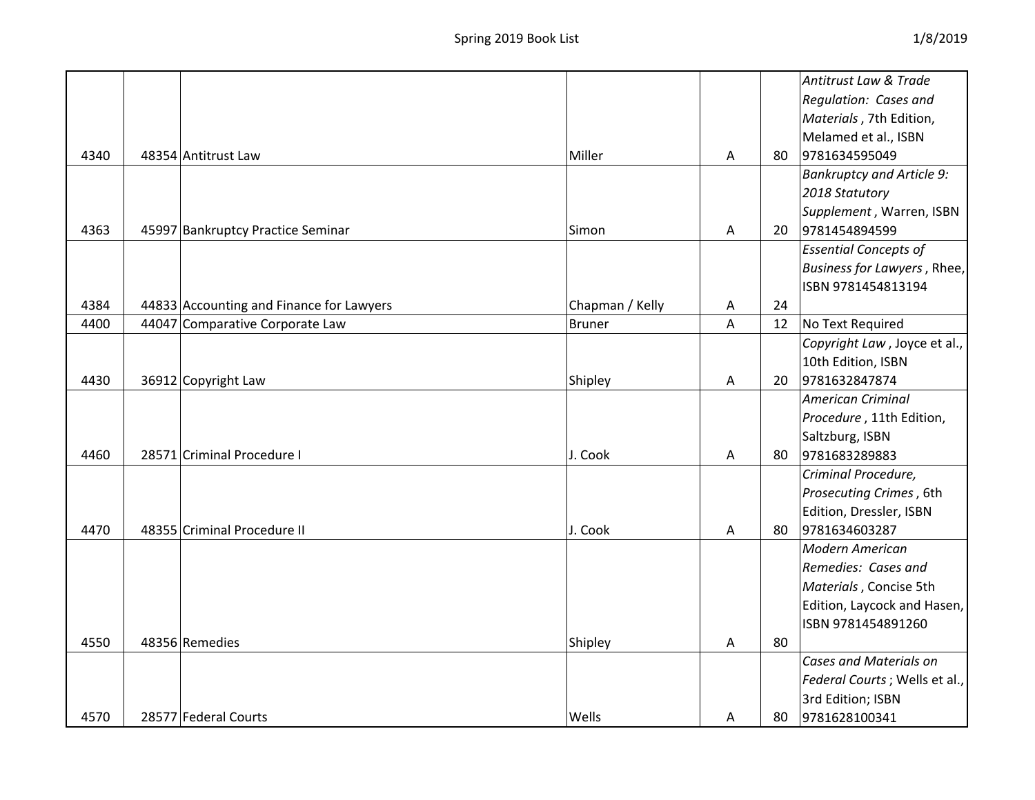|      |                                          |                 |   |    | Antitrust Law & Trade            |
|------|------------------------------------------|-----------------|---|----|----------------------------------|
|      |                                          |                 |   |    | Regulation: Cases and            |
|      |                                          |                 |   |    | Materials, 7th Edition,          |
|      |                                          |                 |   |    | Melamed et al., ISBN             |
| 4340 | 48354 Antitrust Law                      | Miller          | A | 80 | 9781634595049                    |
|      |                                          |                 |   |    | <b>Bankruptcy and Article 9:</b> |
|      |                                          |                 |   |    | 2018 Statutory                   |
|      |                                          |                 |   |    | Supplement, Warren, ISBN         |
| 4363 | 45997 Bankruptcy Practice Seminar        | Simon           | A | 20 | 9781454894599                    |
|      |                                          |                 |   |    | <b>Essential Concepts of</b>     |
|      |                                          |                 |   |    | Business for Lawyers, Rhee,      |
|      |                                          |                 |   |    | ISBN 9781454813194               |
| 4384 | 44833 Accounting and Finance for Lawyers | Chapman / Kelly | A | 24 |                                  |
| 4400 | 44047 Comparative Corporate Law          | <b>Bruner</b>   | A | 12 | No Text Required                 |
|      |                                          |                 |   |    | Copyright Law, Joyce et al.,     |
|      |                                          |                 |   |    | 10th Edition, ISBN               |
| 4430 | 36912 Copyright Law                      | Shipley         | A | 20 | 9781632847874                    |
|      |                                          |                 |   |    | <b>American Criminal</b>         |
|      |                                          |                 |   |    | Procedure, 11th Edition,         |
|      |                                          |                 |   |    | Saltzburg, ISBN                  |
| 4460 | 28571 Criminal Procedure I               | J. Cook         | A | 80 | 9781683289883                    |
|      |                                          |                 |   |    | Criminal Procedure,              |
|      |                                          |                 |   |    | Prosecuting Crimes, 6th          |
|      |                                          |                 |   |    | Edition, Dressler, ISBN          |
| 4470 | 48355 Criminal Procedure II              | J. Cook         | A | 80 | 9781634603287                    |
|      |                                          |                 |   |    | Modern American                  |
|      |                                          |                 |   |    | Remedies: Cases and              |
|      |                                          |                 |   |    | Materials, Concise 5th           |
|      |                                          |                 |   |    | Edition, Laycock and Hasen,      |
|      |                                          |                 |   |    | ISBN 9781454891260               |
| 4550 | 48356 Remedies                           | Shipley         | Α | 80 |                                  |
|      |                                          |                 |   |    | <b>Cases and Materials on</b>    |
|      |                                          |                 |   |    | Federal Courts; Wells et al.,    |
|      |                                          |                 |   |    | 3rd Edition; ISBN                |
| 4570 | 28577 Federal Courts                     | Wells           | A | 80 | 9781628100341                    |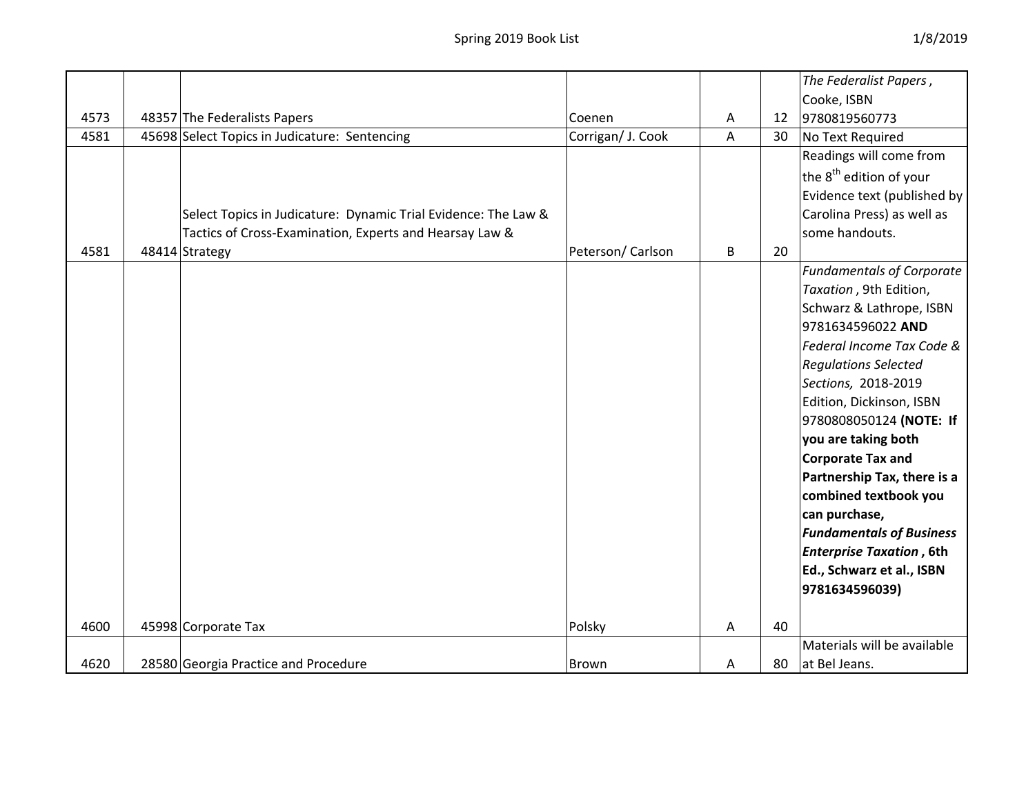|      |                                                                |                   |   |    | The Federalist Papers,              |
|------|----------------------------------------------------------------|-------------------|---|----|-------------------------------------|
|      |                                                                |                   |   |    | Cooke, ISBN                         |
| 4573 | 48357 The Federalists Papers                                   | Coenen            | Α | 12 | 9780819560773                       |
| 4581 | 45698 Select Topics in Judicature: Sentencing                  | Corrigan/ J. Cook | A | 30 | No Text Required                    |
|      |                                                                |                   |   |    | Readings will come from             |
|      |                                                                |                   |   |    | the 8 <sup>th</sup> edition of your |
|      |                                                                |                   |   |    | Evidence text (published by         |
|      | Select Topics in Judicature: Dynamic Trial Evidence: The Law & |                   |   |    | Carolina Press) as well as          |
|      | Tactics of Cross-Examination, Experts and Hearsay Law &        |                   |   |    | some handouts.                      |
| 4581 | 48414 Strategy                                                 | Peterson/Carlson  | B | 20 |                                     |
|      |                                                                |                   |   |    | <b>Fundamentals of Corporate</b>    |
|      |                                                                |                   |   |    | Taxation, 9th Edition,              |
|      |                                                                |                   |   |    | Schwarz & Lathrope, ISBN            |
|      |                                                                |                   |   |    | 9781634596022 AND                   |
|      |                                                                |                   |   |    | Federal Income Tax Code &           |
|      |                                                                |                   |   |    | <b>Regulations Selected</b>         |
|      |                                                                |                   |   |    | Sections, 2018-2019                 |
|      |                                                                |                   |   |    | Edition, Dickinson, ISBN            |
|      |                                                                |                   |   |    | 9780808050124 (NOTE: If             |
|      |                                                                |                   |   |    | you are taking both                 |
|      |                                                                |                   |   |    | <b>Corporate Tax and</b>            |
|      |                                                                |                   |   |    | Partnership Tax, there is a         |
|      |                                                                |                   |   |    | combined textbook you               |
|      |                                                                |                   |   |    | can purchase,                       |
|      |                                                                |                   |   |    | <b>Fundamentals of Business</b>     |
|      |                                                                |                   |   |    | <b>Enterprise Taxation, 6th</b>     |
|      |                                                                |                   |   |    | Ed., Schwarz et al., ISBN           |
|      |                                                                |                   |   |    | 9781634596039)                      |
|      |                                                                |                   |   |    |                                     |
| 4600 | 45998 Corporate Tax                                            | Polsky            | A | 40 |                                     |
|      |                                                                |                   |   |    | Materials will be available         |
| 4620 | 28580 Georgia Practice and Procedure                           | Brown             | A | 80 | at Bel Jeans.                       |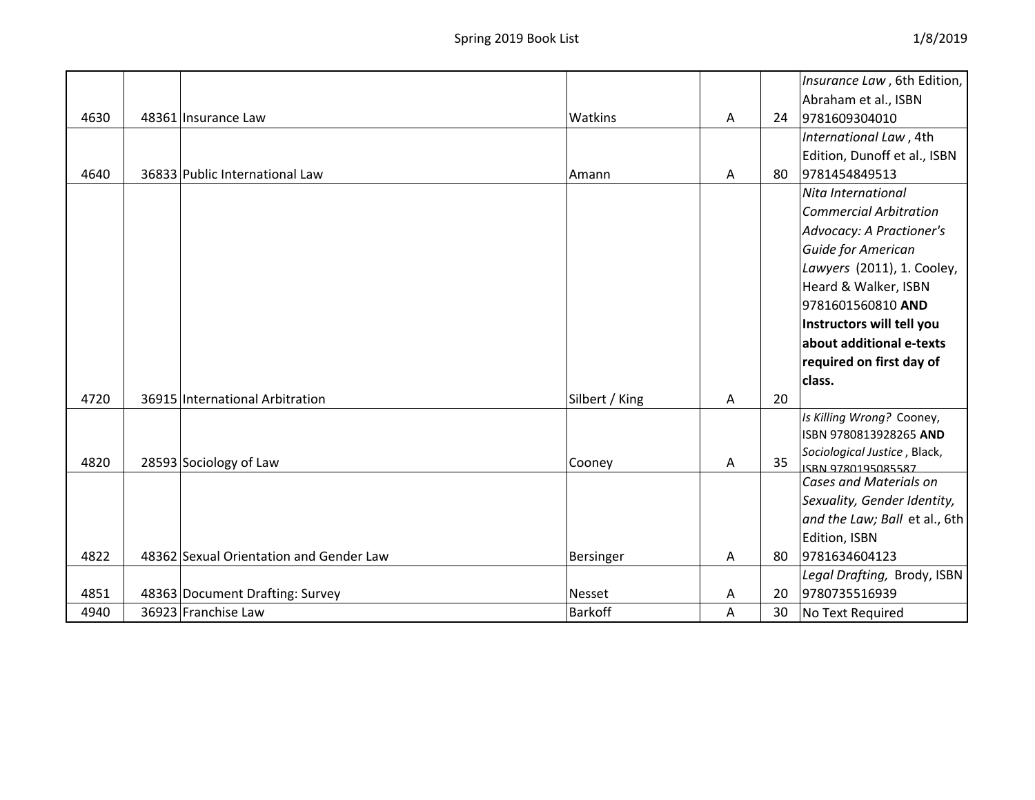|      |                                         |                |   |    | Insurance Law, 6th Edition,                  |
|------|-----------------------------------------|----------------|---|----|----------------------------------------------|
|      |                                         |                |   |    | Abraham et al., ISBN                         |
| 4630 | 48361 Insurance Law                     | Watkins        | A | 24 | 9781609304010                                |
|      |                                         |                |   |    | International Law, 4th                       |
|      |                                         |                |   |    | Edition, Dunoff et al., ISBN                 |
| 4640 | 36833 Public International Law          | Amann          | A | 80 | 9781454849513                                |
|      |                                         |                |   |    | Nita International                           |
|      |                                         |                |   |    | <b>Commercial Arbitration</b>                |
|      |                                         |                |   |    | Advocacy: A Practioner's                     |
|      |                                         |                |   |    | Guide for American                           |
|      |                                         |                |   |    | Lawyers (2011), 1. Cooley,                   |
|      |                                         |                |   |    | Heard & Walker, ISBN                         |
|      |                                         |                |   |    | 9781601560810 AND                            |
|      |                                         |                |   |    | Instructors will tell you                    |
|      |                                         |                |   |    | about additional e-texts                     |
|      |                                         |                |   |    | required on first day of                     |
|      |                                         |                |   |    | class.                                       |
| 4720 | 36915 International Arbitration         | Silbert / King | A | 20 |                                              |
|      |                                         |                |   |    | Is Killing Wrong? Cooney,                    |
|      |                                         |                |   |    | ISBN 9780813928265 AND                       |
| 4820 | 28593 Sociology of Law                  | Cooney         | А | 35 | Sociological Justice, Black,                 |
|      |                                         |                |   |    | ISBN 9780195085587<br>Cases and Materials on |
|      |                                         |                |   |    | Sexuality, Gender Identity,                  |
|      |                                         |                |   |    | and the Law; Ball et al., 6th                |
|      |                                         |                |   |    | Edition, ISBN                                |
| 4822 | 48362 Sexual Orientation and Gender Law | Bersinger      | A | 80 | 9781634604123                                |
|      |                                         |                |   |    | Legal Drafting, Brody, ISBN                  |
| 4851 | 48363 Document Drafting: Survey         | <b>Nesset</b>  | Α | 20 | 9780735516939                                |
| 4940 | 36923 Franchise Law                     | <b>Barkoff</b> | A | 30 | No Text Required                             |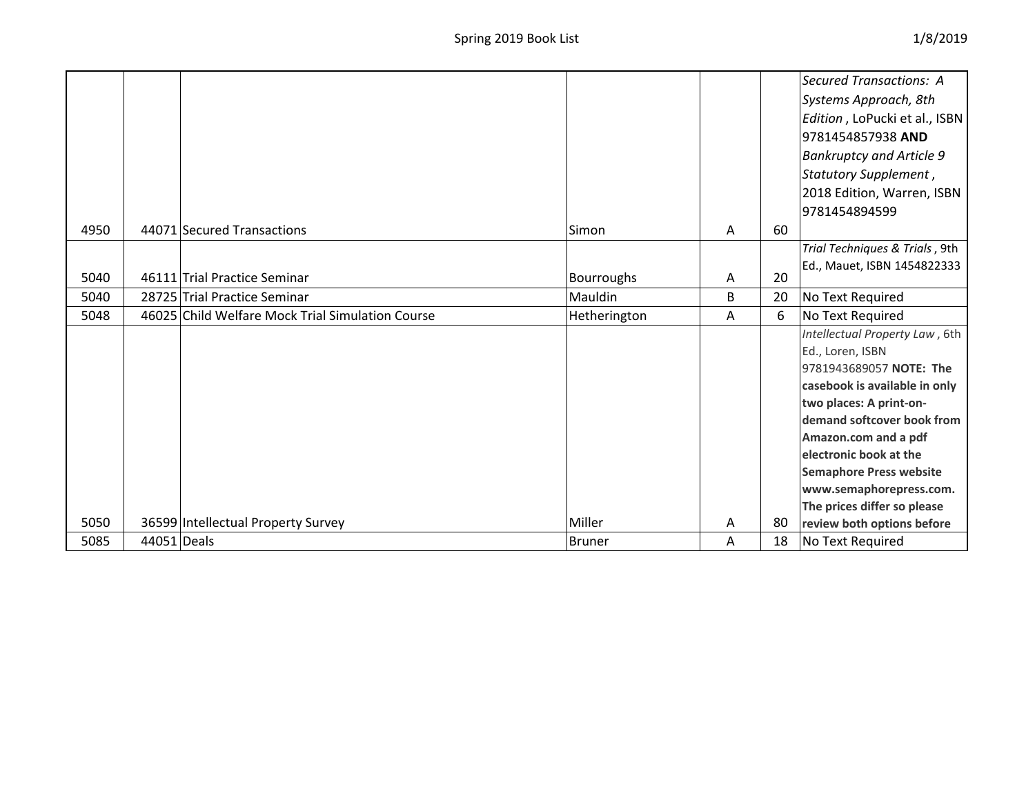|      |             |                                                  |                   |   |    | Secured Transactions: A         |
|------|-------------|--------------------------------------------------|-------------------|---|----|---------------------------------|
|      |             |                                                  |                   |   |    | Systems Approach, 8th           |
|      |             |                                                  |                   |   |    | Edition, LoPucki et al., ISBN   |
|      |             |                                                  |                   |   |    | 9781454857938 AND               |
|      |             |                                                  |                   |   |    | <b>Bankruptcy and Article 9</b> |
|      |             |                                                  |                   |   |    | Statutory Supplement,           |
|      |             |                                                  |                   |   |    | 2018 Edition, Warren, ISBN      |
|      |             |                                                  |                   |   |    | 9781454894599                   |
| 4950 |             | 44071 Secured Transactions                       | Simon             | A | 60 |                                 |
|      |             |                                                  |                   |   |    | Trial Techniques & Trials, 9th  |
|      |             |                                                  |                   |   |    | Ed., Mauet, ISBN 1454822333     |
| 5040 |             | 46111 Trial Practice Seminar                     | <b>Bourroughs</b> | Α | 20 |                                 |
| 5040 |             | 28725 Trial Practice Seminar                     | Mauldin           | B | 20 | No Text Required                |
| 5048 |             | 46025 Child Welfare Mock Trial Simulation Course | Hetherington      | A | 6  | No Text Required                |
|      |             |                                                  |                   |   |    | Intellectual Property Law, 6th  |
|      |             |                                                  |                   |   |    | Ed., Loren, ISBN                |
|      |             |                                                  |                   |   |    | 9781943689057 NOTE: The         |
|      |             |                                                  |                   |   |    | casebook is available in only   |
|      |             |                                                  |                   |   |    | two places: A print-on-         |
|      |             |                                                  |                   |   |    | demand softcover book from      |
|      |             |                                                  |                   |   |    | Amazon.com and a pdf            |
|      |             |                                                  |                   |   |    | electronic book at the          |
|      |             |                                                  |                   |   |    | <b>Semaphore Press website</b>  |
|      |             |                                                  |                   |   |    | www.semaphorepress.com.         |
|      |             |                                                  |                   |   |    | The prices differ so please     |
| 5050 |             | 36599 Intellectual Property Survey               | Miller            | Α | 80 | review both options before      |
| 5085 | 44051 Deals |                                                  | <b>Bruner</b>     | A | 18 | No Text Required                |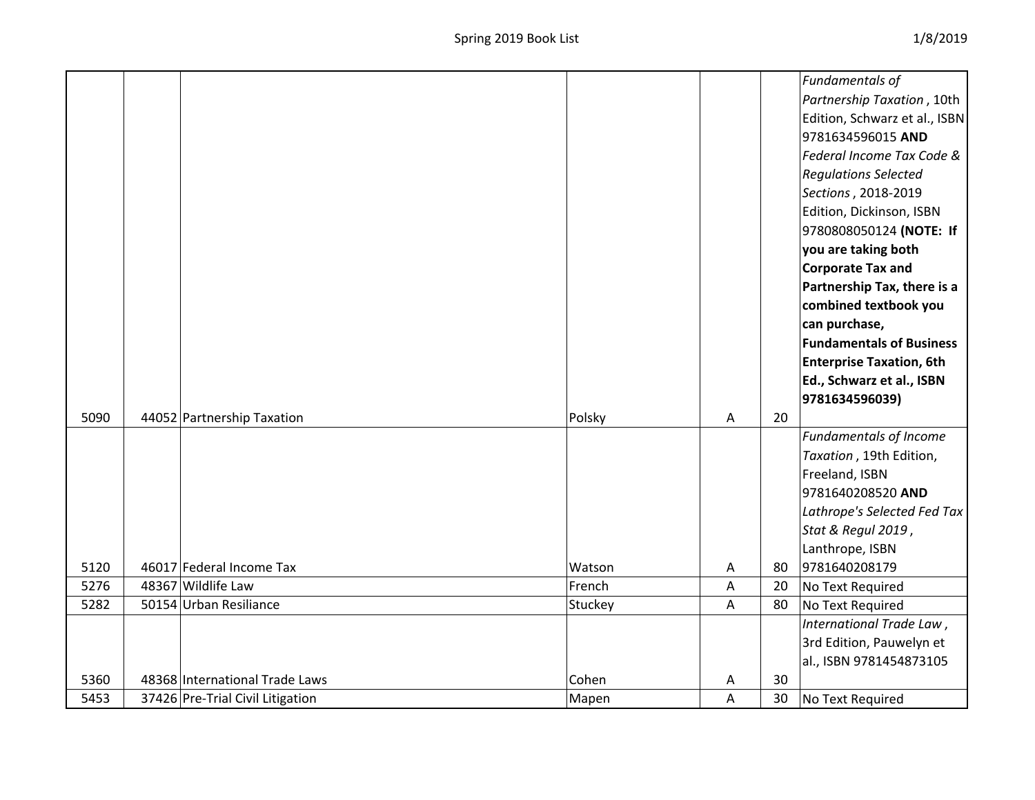|      |                                |         |   |    | Fundamentals of                 |
|------|--------------------------------|---------|---|----|---------------------------------|
|      |                                |         |   |    | Partnership Taxation, 10th      |
|      |                                |         |   |    | Edition, Schwarz et al., ISBN   |
|      |                                |         |   |    | 9781634596015 AND               |
|      |                                |         |   |    | Federal Income Tax Code &       |
|      |                                |         |   |    | <b>Regulations Selected</b>     |
|      |                                |         |   |    | Sections, 2018-2019             |
|      |                                |         |   |    | Edition, Dickinson, ISBN        |
|      |                                |         |   |    | 9780808050124 (NOTE: If         |
|      |                                |         |   |    | you are taking both             |
|      |                                |         |   |    | <b>Corporate Tax and</b>        |
|      |                                |         |   |    | Partnership Tax, there is a     |
|      |                                |         |   |    | combined textbook you           |
|      |                                |         |   |    | can purchase,                   |
|      |                                |         |   |    | <b>Fundamentals of Business</b> |
|      |                                |         |   |    | <b>Enterprise Taxation, 6th</b> |
|      |                                |         |   |    | Ed., Schwarz et al., ISBN       |
|      |                                |         |   |    | 9781634596039)                  |
| 5090 | 44052 Partnership Taxation     | Polsky  | A | 20 |                                 |
|      |                                |         |   |    | Fundamentals of Income          |
|      |                                |         |   |    |                                 |
|      |                                |         |   |    | Taxation, 19th Edition,         |
|      |                                |         |   |    | Freeland, ISBN                  |
|      |                                |         |   |    | 9781640208520 AND               |
|      |                                |         |   |    | Lathrope's Selected Fed Tax     |
|      |                                |         |   |    | Stat & Regul 2019,              |
|      |                                |         |   |    | Lanthrope, ISBN                 |
| 5120 | 46017 Federal Income Tax       | Watson  | Α | 80 | 9781640208179                   |
| 5276 | 48367 Wildlife Law             | French  | A | 20 | No Text Required                |
| 5282 | 50154 Urban Resiliance         | Stuckey | A | 80 | No Text Required                |
|      |                                |         |   |    | International Trade Law,        |
|      |                                |         |   |    | 3rd Edition, Pauwelyn et        |
|      |                                |         |   |    | al., ISBN 9781454873105         |
| 5360 | 48368 International Trade Laws | Cohen   | А | 30 |                                 |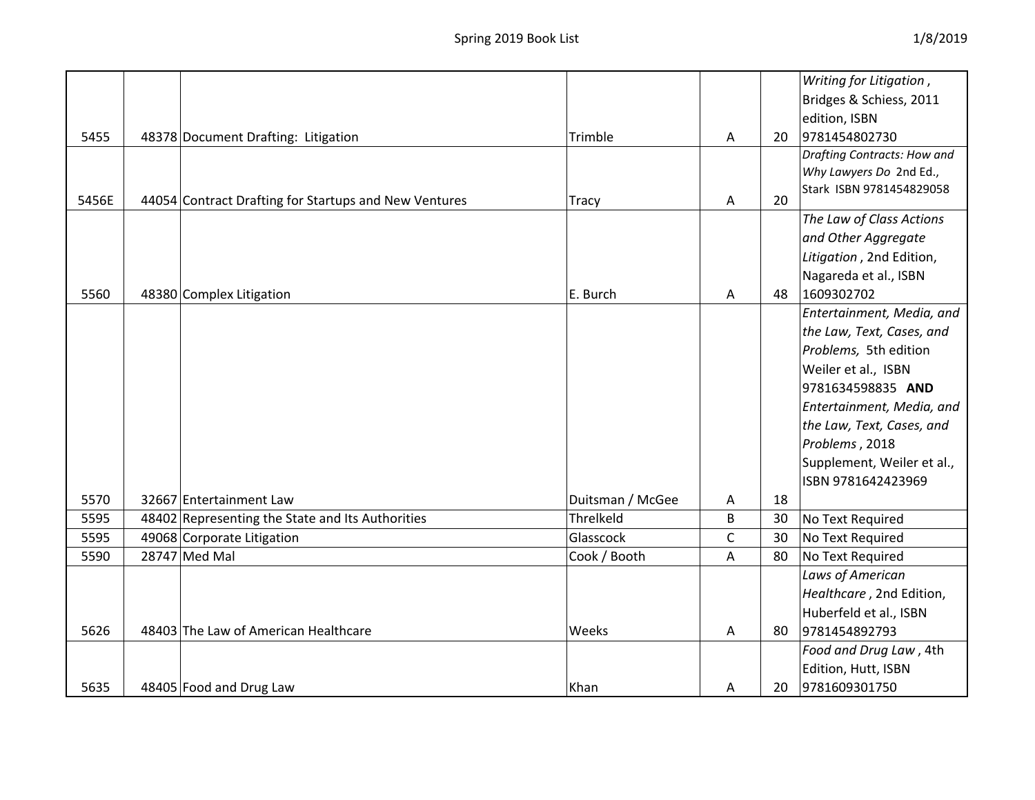|       |                                                       |                  |              |    | Writing for Litigation,     |
|-------|-------------------------------------------------------|------------------|--------------|----|-----------------------------|
|       |                                                       |                  |              |    | Bridges & Schiess, 2011     |
|       |                                                       |                  |              |    | edition, ISBN               |
| 5455  | 48378 Document Drafting: Litigation                   | Trimble          | A            | 20 | 9781454802730               |
|       |                                                       |                  |              |    | Drafting Contracts: How and |
|       |                                                       |                  |              |    | Why Lawyers Do 2nd Ed.,     |
| 5456E |                                                       |                  | A            | 20 | Stark ISBN 9781454829058    |
|       | 44054 Contract Drafting for Startups and New Ventures | <b>Tracy</b>     |              |    | The Law of Class Actions    |
|       |                                                       |                  |              |    |                             |
|       |                                                       |                  |              |    | and Other Aggregate         |
|       |                                                       |                  |              |    | Litigation, 2nd Edition,    |
|       |                                                       |                  |              |    | Nagareda et al., ISBN       |
| 5560  | 48380 Complex Litigation                              | E. Burch         | A            | 48 | 1609302702                  |
|       |                                                       |                  |              |    | Entertainment, Media, and   |
|       |                                                       |                  |              |    | the Law, Text, Cases, and   |
|       |                                                       |                  |              |    | Problems, 5th edition       |
|       |                                                       |                  |              |    | Weiler et al., ISBN         |
|       |                                                       |                  |              |    | 9781634598835 AND           |
|       |                                                       |                  |              |    | Entertainment, Media, and   |
|       |                                                       |                  |              |    | the Law, Text, Cases, and   |
|       |                                                       |                  |              |    | Problems, 2018              |
|       |                                                       |                  |              |    | Supplement, Weiler et al.,  |
|       |                                                       |                  |              |    | ISBN 9781642423969          |
| 5570  | 32667 Entertainment Law                               | Duitsman / McGee | Α            | 18 |                             |
| 5595  | 48402 Representing the State and Its Authorities      | Threlkeld        | B            | 30 | No Text Required            |
| 5595  | 49068 Corporate Litigation                            | Glasscock        | $\mathsf{C}$ | 30 | No Text Required            |
| 5590  | 28747 Med Mal                                         | Cook / Booth     | Α            | 80 | No Text Required            |
|       |                                                       |                  |              |    | Laws of American            |
|       |                                                       |                  |              |    | Healthcare, 2nd Edition,    |
|       |                                                       |                  |              |    | Huberfeld et al., ISBN      |
| 5626  | 48403 The Law of American Healthcare                  | Weeks            | Α            | 80 | 9781454892793               |
|       |                                                       |                  |              |    | Food and Drug Law, 4th      |
|       |                                                       |                  |              |    | Edition, Hutt, ISBN         |
| 5635  | 48405 Food and Drug Law                               | Khan             | Α            | 20 | 9781609301750               |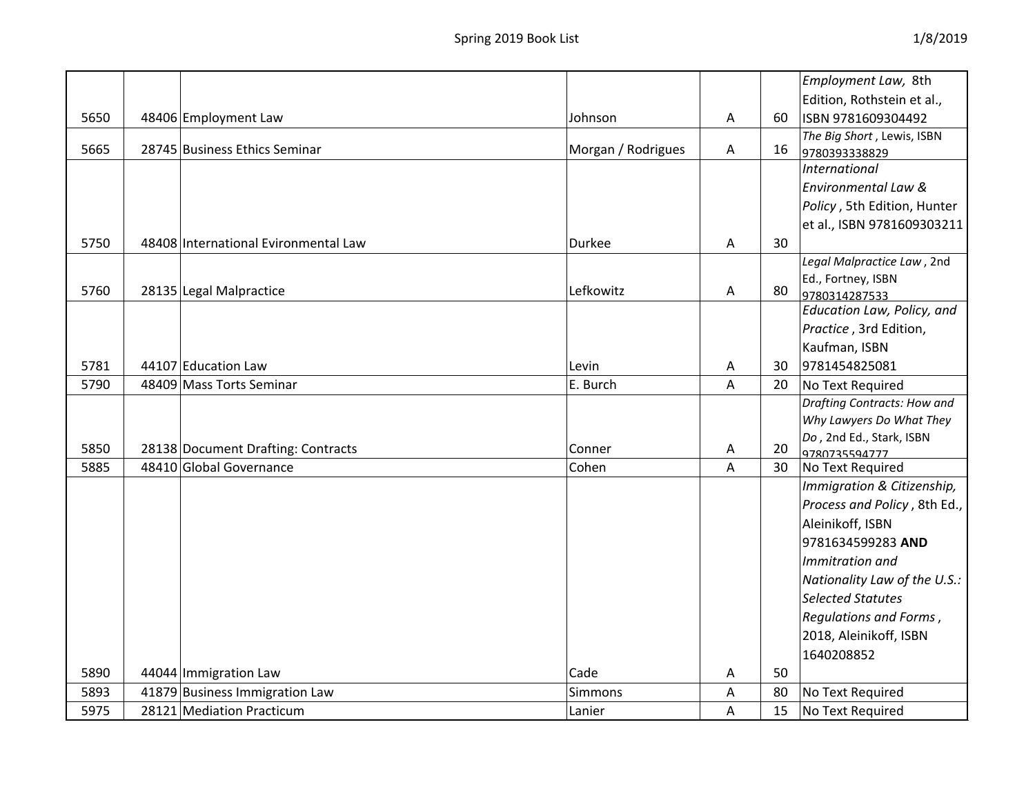|      |                                      |                    |   |    | Employment Law, 8th                              |
|------|--------------------------------------|--------------------|---|----|--------------------------------------------------|
|      |                                      |                    |   |    | Edition, Rothstein et al.,                       |
| 5650 | 48406 Employment Law                 | Johnson            | A | 60 | ISBN 9781609304492                               |
|      |                                      |                    |   |    | The Big Short, Lewis, ISBN                       |
| 5665 | 28745 Business Ethics Seminar        | Morgan / Rodrigues | A | 16 | 9780393338829                                    |
|      |                                      |                    |   |    | <b>International</b>                             |
|      |                                      |                    |   |    | Environmental Law &                              |
|      |                                      |                    |   |    | Policy, 5th Edition, Hunter                      |
|      |                                      |                    |   |    | et al., ISBN 9781609303211                       |
| 5750 | 48408 International Evironmental Law | <b>Durkee</b>      | A | 30 |                                                  |
|      |                                      |                    |   |    | Legal Malpractice Law, 2nd                       |
|      |                                      |                    |   |    | Ed., Fortney, ISBN                               |
| 5760 | 28135 Legal Malpractice              | Lefkowitz          | A | 80 | 9780314287533                                    |
|      |                                      |                    |   |    | Education Law, Policy, and                       |
|      |                                      |                    |   |    | Practice, 3rd Edition,                           |
|      |                                      |                    |   |    | Kaufman, ISBN                                    |
| 5781 | 44107 Education Law                  | Levin              | Α | 30 | 9781454825081                                    |
| 5790 | 48409 Mass Torts Seminar             | E. Burch           | A | 20 | No Text Required                                 |
|      |                                      |                    |   |    | Drafting Contracts: How and                      |
|      |                                      |                    |   |    | Why Lawyers Do What They                         |
| 5850 | 28138 Document Drafting: Contracts   | Conner             | A | 20 | Do, 2nd Ed., Stark, ISBN<br>9780735594777        |
| 5885 | 48410 Global Governance              | Cohen              | A | 30 | No Text Required                                 |
|      |                                      |                    |   |    | Immigration & Citizenship,                       |
|      |                                      |                    |   |    | Process and Policy, 8th Ed.,                     |
|      |                                      |                    |   |    | Aleinikoff, ISBN                                 |
|      |                                      |                    |   |    | 9781634599283 AND                                |
|      |                                      |                    |   |    | Immitration and                                  |
|      |                                      |                    |   |    | Nationality Law of the U.S.:                     |
|      |                                      |                    |   |    | <b>Selected Statutes</b>                         |
|      |                                      |                    |   |    |                                                  |
|      |                                      |                    |   |    | Regulations and Forms,<br>2018, Aleinikoff, ISBN |
|      |                                      |                    |   |    |                                                  |
|      |                                      |                    |   |    | 1640208852                                       |
| 5890 | 44044 Immigration Law                | Cade               | A | 50 |                                                  |
| 5893 | 41879 Business Immigration Law       | Simmons            | A | 80 | No Text Required                                 |
| 5975 | 28121 Mediation Practicum            | Lanier             | Α | 15 | No Text Required                                 |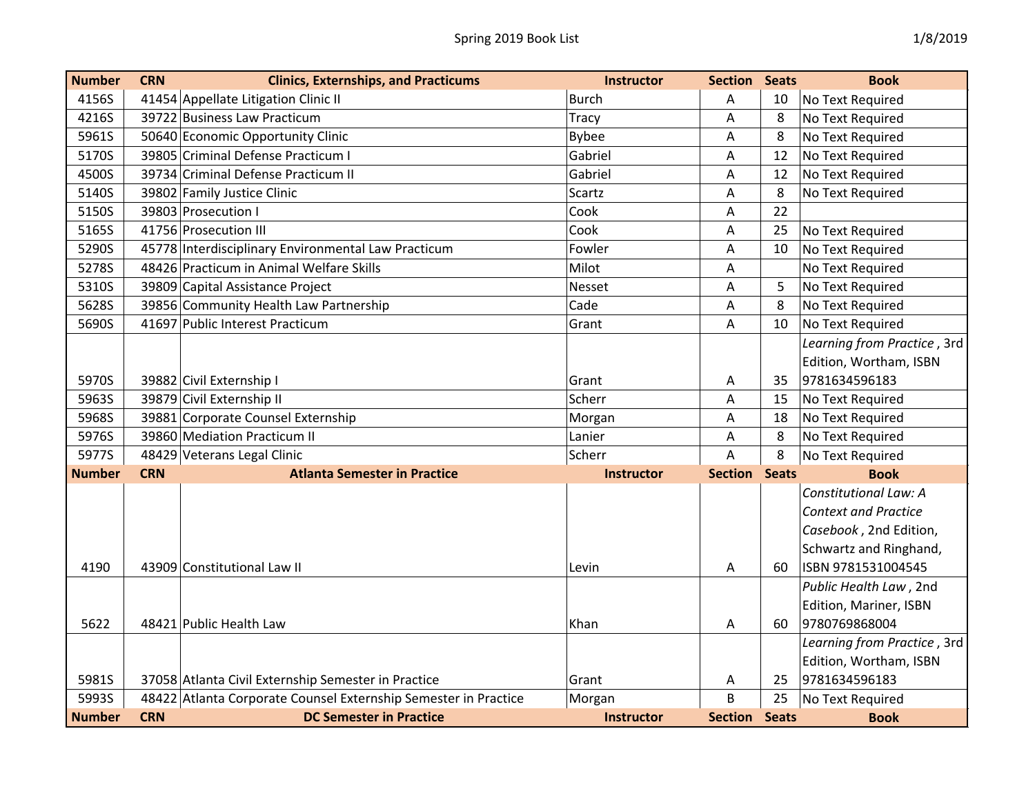| <b>Number</b> | <b>CRN</b> | <b>Clinics, Externships, and Practicums</b>                     | <b>Instructor</b> | <b>Section Seats</b> |              | <b>Book</b>                 |
|---------------|------------|-----------------------------------------------------------------|-------------------|----------------------|--------------|-----------------------------|
| 4156S         |            | 41454 Appellate Litigation Clinic II                            | <b>Burch</b>      | Α                    | 10           | No Text Required            |
| 4216S         |            | 39722 Business Law Practicum                                    | Tracy             | A                    | 8            | No Text Required            |
| 5961S         |            | 50640 Economic Opportunity Clinic                               | <b>Bybee</b>      | A                    | 8            | No Text Required            |
| 5170S         |            | 39805 Criminal Defense Practicum I                              | Gabriel           | Α                    | 12           | No Text Required            |
| 4500S         |            | 39734 Criminal Defense Practicum II                             | Gabriel           | Α                    | 12           | No Text Required            |
| 5140S         |            | 39802 Family Justice Clinic                                     | Scartz            | A                    | 8            | No Text Required            |
| 5150S         |            | 39803 Prosecution I                                             | Cook              | A                    | 22           |                             |
| 5165S         |            | 41756 Prosecution III                                           | Cook              | Α                    | 25           | No Text Required            |
| 5290S         |            | 45778 Interdisciplinary Environmental Law Practicum             | Fowler            | A                    | 10           | No Text Required            |
| 5278S         |            | 48426 Practicum in Animal Welfare Skills                        | Milot             | Α                    |              | No Text Required            |
| 5310S         |            | 39809 Capital Assistance Project                                | Nesset            | Α                    | 5            | No Text Required            |
| 5628S         |            | 39856 Community Health Law Partnership                          | Cade              | A                    | 8            | No Text Required            |
| 5690S         |            | 41697 Public Interest Practicum                                 | Grant             | Α                    | 10           | No Text Required            |
|               |            |                                                                 |                   |                      |              | Learning from Practice, 3rd |
|               |            |                                                                 |                   |                      |              | Edition, Wortham, ISBN      |
| 5970S         |            | 39882 Civil Externship I                                        | Grant             | Α                    | 35           | 9781634596183               |
| 5963S         |            | 39879 Civil Externship II                                       | Scherr            | Α                    | 15           | No Text Required            |
| 5968S         |            | 39881 Corporate Counsel Externship                              | Morgan            | Α                    | 18           | No Text Required            |
| 5976S         |            | 39860 Mediation Practicum II                                    | Lanier            | Α                    | 8            | No Text Required            |
| 5977S         |            | 48429 Veterans Legal Clinic                                     | Scherr            | Α                    | 8            | No Text Required            |
| <b>Number</b> | <b>CRN</b> | <b>Atlanta Semester in Practice</b>                             | <b>Instructor</b> | <b>Section Seats</b> |              | <b>Book</b>                 |
|               |            |                                                                 |                   |                      |              | Constitutional Law: A       |
|               |            |                                                                 |                   |                      |              | <b>Context and Practice</b> |
|               |            |                                                                 |                   |                      |              | Casebook, 2nd Edition,      |
|               |            |                                                                 |                   |                      |              | Schwartz and Ringhand,      |
| 4190          |            | 43909 Constitutional Law II                                     | Levin             | A                    | 60           | ISBN 9781531004545          |
|               |            |                                                                 |                   |                      |              | Public Health Law, 2nd      |
|               |            |                                                                 |                   |                      |              | Edition, Mariner, ISBN      |
| 5622          |            | 48421 Public Health Law                                         | Khan              | Α                    | 60           | 9780769868004               |
|               |            |                                                                 |                   |                      |              | Learning from Practice, 3rd |
|               |            |                                                                 |                   |                      |              | Edition, Wortham, ISBN      |
| 5981S         |            | 37058 Atlanta Civil Externship Semester in Practice             | Grant             | A                    | 25           | 9781634596183               |
| 5993S         |            | 48422 Atlanta Corporate Counsel Externship Semester in Practice | Morgan            | B                    | 25           | No Text Required            |
| <b>Number</b> | <b>CRN</b> | <b>DC Semester in Practice</b>                                  | <b>Instructor</b> | <b>Section</b>       | <b>Seats</b> | <b>Book</b>                 |